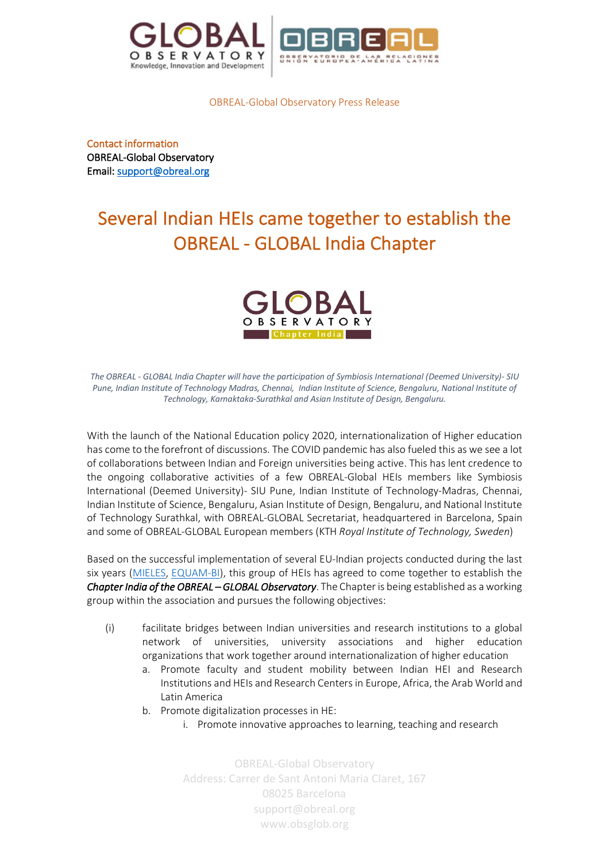



OBREAL-Global Observatory Press Release

Contact information OBREAL-Global Observatory Email: support@obreal.org

## Several Indian HEIs came together to establish the OBREAL - GLOBAL India Chapter



*The OBREAL - GLOBAL India Chapter will have the participation of Symbiosis International (Deemed University)- SIU Pune, Indian Institute of Technology Madras, Chennai, Indian Institute of Science, Bengaluru, National Institute of Technology, Karnaktaka-Surathkal and Asian Institute of Design, Bengaluru.* 

With the launch of the National Education policy 2020, internationalization of Higher education has come to the forefront of discussions. The COVID pandemic has also fueled this as we see a lot of collaborations between Indian and Foreign universities being active. This has lent credence to the ongoing collaborative activities of a few OBREAL-Global HEIs members like Symbiosis International (Deemed University)- SIU Pune, Indian Institute of Technology-Madras, Chennai, Indian Institute of Science, Bengaluru, Asian Institute of Design, Bengaluru, and National Institute of Technology Surathkal, with OBREAL-GLOBAL Secretariat, headquartered in Barcelona, Spain and some of OBREAL-GLOBAL European members (KTH *Royal Institute of Technology, Sweden*)

Based on the successful implementation of several EU-Indian projects conducted during the last six years (MIELES, EQUAM-BI), this group of HEIs has agreed to come together to establish the *Chapter India of the OBREAL – GLOBAL Observatory*. The Chapter is being established as a working group within the association and pursues the following objectives:

- (i) facilitate bridges between Indian universities and research institutions to a global network of universities, university associations and higher education organizations that work together around internationalization of higher education
	- a. Promote faculty and student mobility between Indian HEI and Research Institutions and HEIs and Research Centers in Europe, Africa, the Arab World and Latin America
	- b. Promote digitalization processes in HE:
		- i. Promote innovative approaches to learning, teaching and research

OBREAL-Global Observatory Address: Carrer de Sant Antoni Maria Claret, 167 08025 Barcelona support@obreal.org www.obsglob.org